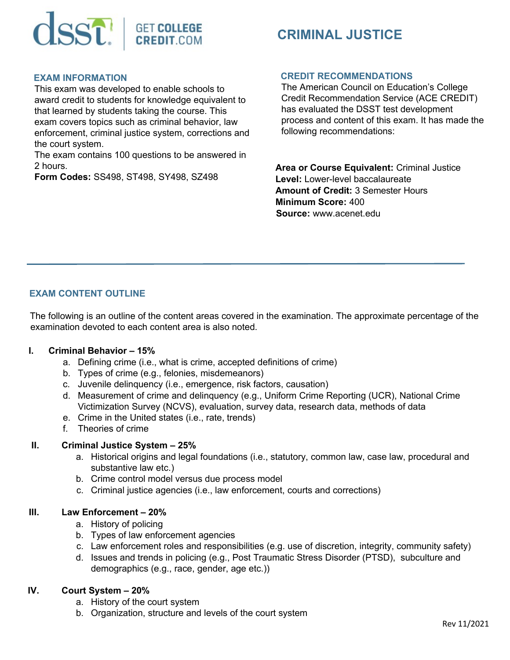

# **CRIMINAL JUSTICE**

#### **EXAM INFORMATION**

This exam was developed to enable schools to award credit to students for knowledge equivalent to that learned by students taking the course. This exam covers topics such as criminal behavior, law enforcement, criminal justice system, corrections and the court system.

The exam contains 100 questions to be answered in 2 hours.

**Form Codes:** SS498, ST498, SY498, SZ498

#### **CREDIT RECOMMENDATIONS**

The American Council on Education's College Credit Recommendation Service (ACE CREDIT) has evaluated the DSST test development process and content of this exam. It has made the following recommendations:

**Area or Course Equivalent:** Criminal Justice **Level:** Lower-level baccalaureate **Amount of Credit:** 3 Semester Hours **Minimum Score:** 400 **Source:** www.acenet.edu

# **EXAM CONTENT OUTLINE**

The following is an outline of the content areas covered in the examination. The approximate percentage of the examination devoted to each content area is also noted.

## **I. Criminal Behavior – 15%**

- a. Defining crime (i.e., what is crime, accepted definitions of crime)
- b. Types of crime (e.g., felonies, misdemeanors)
- c. Juvenile delinquency (i.e., emergence, risk factors, causation)
- d. Measurement of crime and delinquency (e.g., Uniform Crime Reporting (UCR), National Crime Victimization Survey (NCVS), evaluation, survey data, research data, methods of data
- e. Crime in the United states (i.e., rate, trends)
- f. Theories of crime

## **II. Criminal Justice System – 25%**

- a. Historical origins and legal foundations (i.e., statutory, common law, case law, procedural and substantive law etc.)
- b. Crime control model versus due process model
- c. Criminal justice agencies (i.e., law enforcement, courts and corrections)

## **III. Law Enforcement – 20%**

- a. History of policing
- b. Types of law enforcement agencies
- c. Law enforcement roles and responsibilities (e.g. use of discretion, integrity, community safety)
- d. Issues and trends in policing (e.g., Post Traumatic Stress Disorder (PTSD), subculture and demographics (e.g., race, gender, age etc.))

#### **IV. Court System – 20%**

- a. History of the court system
- b. Organization, structure and levels of the court system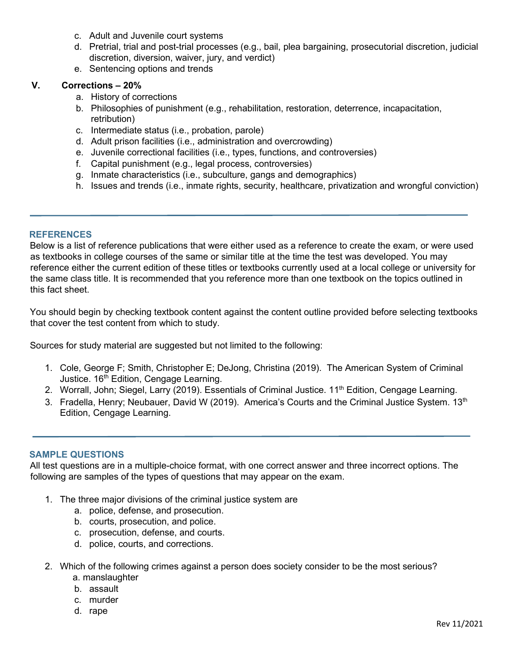- c. Adult and Juvenile court systems
- d. Pretrial, trial and post-trial processes (e.g., bail, plea bargaining, prosecutorial discretion, judicial discretion, diversion, waiver, jury, and verdict)
- e. Sentencing options and trends

## **V. Corrections – 20%**

- a. History of corrections
- b. Philosophies of punishment (e.g., rehabilitation, restoration, deterrence, incapacitation, retribution)
- c. Intermediate status (i.e., probation, parole)
- d. Adult prison facilities (i.e., administration and overcrowding)
- e. Juvenile correctional facilities (i.e., types, functions, and controversies)
- f. Capital punishment (e.g., legal process, controversies)
- g. Inmate characteristics (i.e., subculture, gangs and demographics)
- h. Issues and trends (i.e., inmate rights, security, healthcare, privatization and wrongful conviction)

#### **REFERENCES**

Below is a list of reference publications that were either used as a reference to create the exam, or were used as textbooks in college courses of the same or similar title at the time the test was developed. You may reference either the current edition of these titles or textbooks currently used at a local college or university for the same class title. It is recommended that you reference more than one textbook on the topics outlined in this fact sheet.

You should begin by checking textbook content against the content outline provided before selecting textbooks that cover the test content from which to study.

Sources for study material are suggested but not limited to the following:

- 1. Cole, George F; Smith, Christopher E; DeJong, Christina (2019). The American System of Criminal Justice. 16<sup>th</sup> Edition, Cengage Learning.
- 2. Worrall, John; Siegel, Larry (2019). Essentials of Criminal Justice. 11<sup>th</sup> Edition, Cengage Learning.
- 3. Fradella, Henry; Neubauer, David W (2019). America's Courts and the Criminal Justice System. 13th Edition, Cengage Learning.

#### **SAMPLE QUESTIONS**

All test questions are in a multiple-choice format, with one correct answer and three incorrect options. The following are samples of the types of questions that may appear on the exam.

- 1. The three major divisions of the criminal justice system are
	- a. police, defense, and prosecution.
	- b. courts, prosecution, and police.
	- c. prosecution, defense, and courts.
	- d. police, courts, and corrections.
- 2. Which of the following crimes against a person does society consider to be the most serious? a. manslaughter
	- b. assault
	- c. murder
	- d. rape